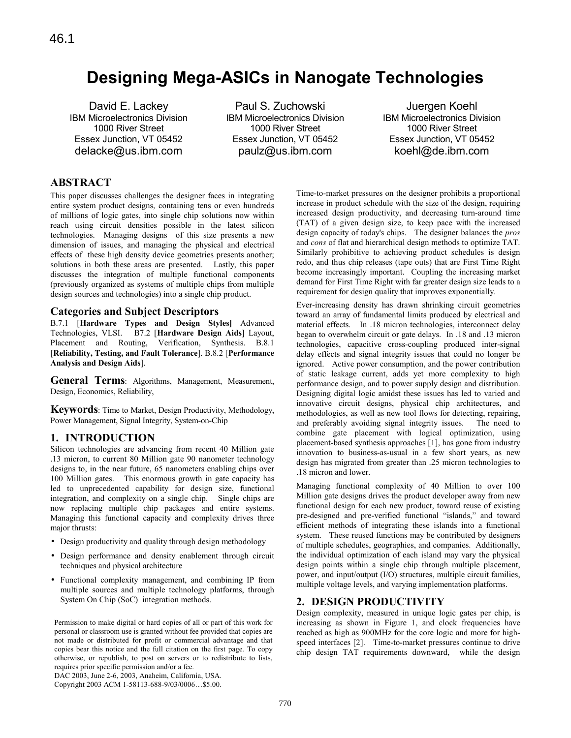# **Designing Mega-ASICs in Nanogate Technologies**

David E. Lackey IBM Microelectronics Division 1000 River Street Essex Junction, VT 05452 delacke@us.ibm.com

Paul S. Zuchowski IBM Microelectronics Division 1000 River Street Essex Junction, VT 05452 paulz@us.ibm.com

Juergen Koehl IBM Microelectronics Division 1000 River Street Essex Junction, VT 05452 koehl@de.ibm.com

# **ABSTRACT**

This paper discusses challenges the designer faces in integrating entire system product designs, containing tens or even hundreds of millions of logic gates, into single chip solutions now within reach using circuit densities possible in the latest silicon technologies. Managing designs of this size presents a new dimension of issues, and managing the physical and electrical effects of these high density device geometries presents another; solutions in both these areas are presented. Lastly, this paper discusses the integration of multiple functional components (previously organized as systems of multiple chips from multiple design sources and technologies) into a single chip product.

## **Categories and Subject Descriptors**

B.7.1 [**Hardware Types and Design Styles]** Advanced Technologies, VLSI. B7.2 [**Hardware Design Aids**] Layout, Placement and Routing, Verification, Synthesis. B.8.1 [**Reliability, Testing, and Fault Tolerance**]. B.8.2 [**Performance Analysis and Design Aids**].

**General Terms**: Algorithms, Management, Measurement, Design, Economics, Reliability,

**Keywords**: Time to Market, Design Productivity, Methodology, Power Management, Signal Integrity, System-on-Chip

## **1. INTRODUCTION**

Silicon technologies are advancing from recent 40 Million gate .13 micron, to current 80 Million gate 90 nanometer technology designs to, in the near future, 65 nanometers enabling chips over 100 Million gates. This enormous growth in gate capacity has led to unprecedented capability for design size, functional integration, and complexity on a single chip. Single chips are now replacing multiple chip packages and entire systems. Managing this functional capacity and complexity drives three major thrusts:

- Design productivity and quality through design methodology
- Design performance and density enablement through circuit techniques and physical architecture
- Functional complexity management, and combining IP from multiple sources and multiple technology platforms, through System On Chip (SoC) integration methods.

Permission to make digital or hard copies of all or part of this work for personal or classroom use is granted without fee provided that copies are not made or distributed for profit or commercial advantage and that copies bear this notice and the full citation on the first page. To copy otherwise, or republish, to post on servers or to redistribute to lists, requires prior specific permission and/or a fee. DAC 2003, June 2-6, 2003, Anaheim, California, USA.

Copyright 2003 ACM 1-58113-688-9/03/0006…\$5.00.

Time-to-market pressures on the designer prohibits a proportional increase in product schedule with the size of the design, requiring increased design productivity, and decreasing turn-around time (TAT) of a given design size, to keep pace with the increased design capacity of today's chips. The designer balances the *pros* and *cons* of flat and hierarchical design methods to optimize TAT. Similarly prohibitive to achieving product schedules is design redo, and thus chip releases (tape outs) that are First Time Right become increasingly important. Coupling the increasing market demand for First Time Right with far greater design size leads to a requirement for design quality that improves exponentially.

Ever-increasing density has drawn shrinking circuit geometries toward an array of fundamental limits produced by electrical and material effects. In .18 micron technologies, interconnect delay began to overwhelm circuit or gate delays. In .18 and .13 micron technologies, capacitive cross-coupling produced inter-signal delay effects and signal integrity issues that could no longer be ignored. Active power consumption, and the power contribution of static leakage current, adds yet more complexity to high performance design, and to power supply design and distribution. Designing digital logic amidst these issues has led to varied and innovative circuit designs, physical chip architectures, and methodologies, as well as new tool flows for detecting, repairing, and preferably avoiding signal integrity issues. The need to combine gate placement with logical optimization, using placement-based synthesis approaches [1], has gone from industry innovation to business-as-usual in a few short years, as new design has migrated from greater than .25 micron technologies to .18 micron and lower.

Managing functional complexity of 40 Million to over 100 Million gate designs drives the product developer away from new functional design for each new product, toward reuse of existing pre-designed and pre-verified functional "islands," and toward efficient methods of integrating these islands into a functional system. These reused functions may be contributed by designers of multiple schedules, geographies, and companies. Additionally, the individual optimization of each island may vary the physical design points within a single chip through multiple placement, power, and input/output (I/O) structures, multiple circuit families, multiple voltage levels, and varying implementation platforms.

## **2. DESIGN PRODUCTIVITY**

Design complexity, measured in unique logic gates per chip, is increasing as shown in Figure 1, and clock frequencies have reached as high as 900MHz for the core logic and more for highspeed interfaces [2]. Time-to-market pressures continue to drive chip design TAT requirements downward, while the design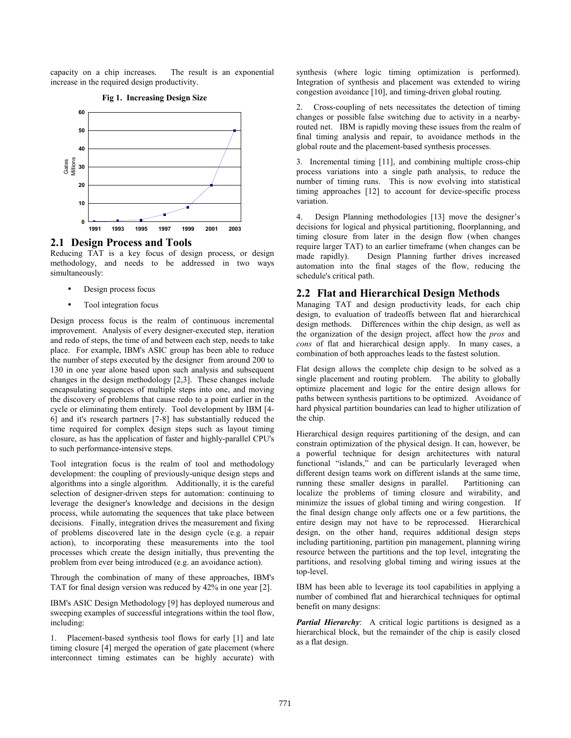capacity on a chip increases. The result is an exponential increase in the required design productivity.



#### **Fig 1. Increasing Design Size**

**2.1 Design Process and Tools** 

Reducing TAT is a key focus of design process, or design methodology, and needs to be addressed in two ways simultaneously:

- Design process focus
- Tool integration focus

Design process focus is the realm of continuous incremental improvement. Analysis of every designer-executed step, iteration and redo of steps, the time of and between each step, needs to take place. For example, IBM's ASIC group has been able to reduce the number of steps executed by the designer from around 200 to 130 in one year alone based upon such analysis and subsequent changes in the design methodology [2,3]. These changes include encapsulating sequences of multiple steps into one, and moving the discovery of problems that cause redo to a point earlier in the cycle or eliminating them entirely. Tool development by IBM [4- 6] and it's research partners [7-8] has substantially reduced the time required for complex design steps such as layout timing closure, as has the application of faster and highly-parallel CPU's to such performance-intensive steps.

Tool integration focus is the realm of tool and methodology development: the coupling of previously-unique design steps and algorithms into a single algorithm. Additionally, it is the careful selection of designer-driven steps for automation: continuing to leverage the designer's knowledge and decisions in the design process, while automating the sequences that take place between decisions. Finally, integration drives the measurement and fixing of problems discovered late in the design cycle (e.g. a repair action), to incorporating these measurements into the tool processes which create the design initially, thus preventing the problem from ever being introduced (e.g. an avoidance action).

Through the combination of many of these approaches, IBM's TAT for final design version was reduced by 42% in one year [2].

IBM's ASIC Design Methodology [9] has deployed numerous and sweeping examples of successful integrations within the tool flow, including:

1. Placement-based synthesis tool flows for early [1] and late timing closure [4] merged the operation of gate placement (where interconnect timing estimates can be highly accurate) with

synthesis (where logic timing optimization is performed). Integration of synthesis and placement was extended to wiring congestion avoidance [10], and timing-driven global routing.

2. Cross-coupling of nets necessitates the detection of timing changes or possible false switching due to activity in a nearbyrouted net. IBM is rapidly moving these issues from the realm of final timing analysis and repair, to avoidance methods in the global route and the placement-based synthesis processes.

3. Incremental timing [11], and combining multiple cross-chip process variations into a single path analysis, to reduce the number of timing runs. This is now evolving into statistical timing approaches [12] to account for device-specific process variation.

4. Design Planning methodologies [13] move the designer's decisions for logical and physical partitioning, floorplanning, and timing closure from later in the design flow (when changes require larger TAT) to an earlier timeframe (when changes can be made rapidly). Design Planning further drives increased automation into the final stages of the flow, reducing the schedule's critical path.

#### **2.2 Flat and Hierarchical Design Methods**

Managing TAT and design productivity leads, for each chip design, to evaluation of tradeoffs between flat and hierarchical design methods. Differences within the chip design, as well as the organization of the design project, affect how the *pros* and *cons* of flat and hierarchical design apply. In many cases, a combination of both approaches leads to the fastest solution.

Flat design allows the complete chip design to be solved as a single placement and routing problem. The ability to globally optimize placement and logic for the entire design allows for paths between synthesis partitions to be optimized. Avoidance of hard physical partition boundaries can lead to higher utilization of the chip.

Hierarchical design requires partitioning of the design, and can constrain optimization of the physical design. It can, however, be a powerful technique for design architectures with natural functional "islands," and can be particularly leveraged when different design teams work on different islands at the same time, running these smaller designs in parallel. Partitioning can localize the problems of timing closure and wirability, and minimize the issues of global timing and wiring congestion. If the final design change only affects one or a few partitions, the entire design may not have to be reprocessed. Hierarchical design, on the other hand, requires additional design steps including partitioning, partition pin management, planning wiring resource between the partitions and the top level, integrating the partitions, and resolving global timing and wiring issues at the top-level.

IBM has been able to leverage its tool capabilities in applying a number of combined flat and hierarchical techniques for optimal benefit on many designs:

*Partial Hierarchy*: A critical logic partitions is designed as a hierarchical block, but the remainder of the chip is easily closed as a flat design.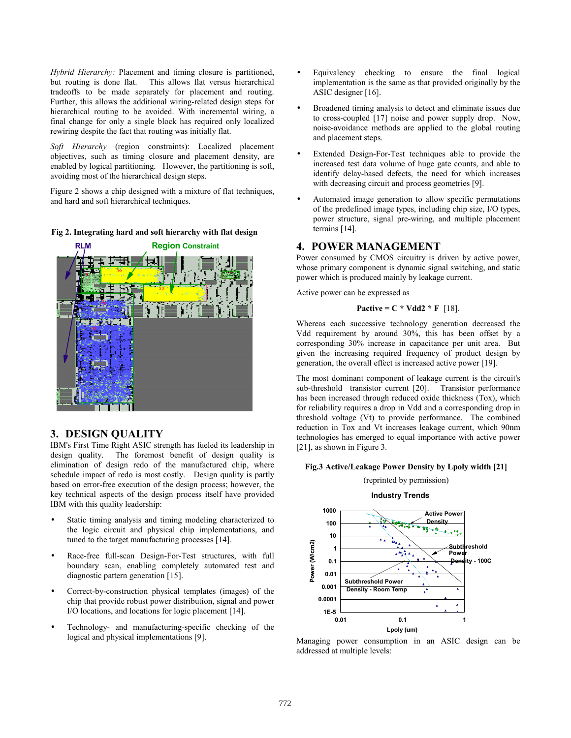*Hybrid Hierarchy:* Placement and timing closure is partitioned, but routing is done flat. This allows flat versus hierarchical tradeoffs to be made separately for placement and routing. Further, this allows the additional wiring-related design steps for hierarchical routing to be avoided. With incremental wiring, a final change for only a single block has required only localized rewiring despite the fact that routing was initially flat.

*Soft Hierarchy* (region constraints): Localized placement objectives, such as timing closure and placement density, are enabled by logical partitioning. However, the partitioning is soft, avoiding most of the hierarchical design steps.

Figure 2 shows a chip designed with a mixture of flat techniques, and hard and soft hierarchical techniques.

#### **Fig 2. Integrating hard and soft hierarchy with flat design**



#### **3. DESIGN QUALITY**

IBM's First Time Right ASIC strength has fueled its leadership in design quality. The foremost benefit of design quality is elimination of design redo of the manufactured chip, where schedule impact of redo is most costly. Design quality is partly based on error-free execution of the design process; however, the key technical aspects of the design process itself have provided IBM with this quality leadership:

- Static timing analysis and timing modeling characterized to the logic circuit and physical chip implementations, and tuned to the target manufacturing processes [14].
- Race-free full-scan Design-For-Test structures, with full boundary scan, enabling completely automated test and diagnostic pattern generation [15].
- Correct-by-construction physical templates (images) of the chip that provide robust power distribution, signal and power I/O locations, and locations for logic placement [14].
- Technology- and manufacturing-specific checking of the logical and physical implementations [9].
- Equivalency checking to ensure the final logical implementation is the same as that provided originally by the ASIC designer [16].
- Broadened timing analysis to detect and eliminate issues due to cross-coupled [17] noise and power supply drop. Now, noise-avoidance methods are applied to the global routing and placement steps.
- Extended Design-For-Test techniques able to provide the increased test data volume of huge gate counts, and able to identify delay-based defects, the need for which increases with decreasing circuit and process geometries [9].
- Automated image generation to allow specific permutations of the predefined image types, including chip size, I/O types, power structure, signal pre-wiring, and multiple placement terrains [14].

## **4. POWER MANAGEMENT**

Power consumed by CMOS circuitry is driven by active power, whose primary component is dynamic signal switching, and static power which is produced mainly by leakage current.

Active power can be expressed as

$$
Pactive = C * Vdd2 * F [18].
$$

Whereas each successive technology generation decreased the Vdd requirement by around 30%, this has been offset by a corresponding 30% increase in capacitance per unit area. But given the increasing required frequency of product design by generation, the overall effect is increased active power [19].

The most dominant component of leakage current is the circuit's sub-threshold transistor current [20]. Transistor performance has been increased through reduced oxide thickness (Tox), which for reliability requires a drop in Vdd and a corresponding drop in threshold voltage (Vt) to provide performance. The combined reduction in Tox and Vt increases leakage current, which 90nm technologies has emerged to equal importance with active power [21], as shown in Figure 3.

#### **Fig.3 Active/Leakage Power Density by Lpoly width [21]**

(reprinted by permission)

#### **Industry Trends**



Managing power consumption in an ASIC design can be addressed at multiple levels: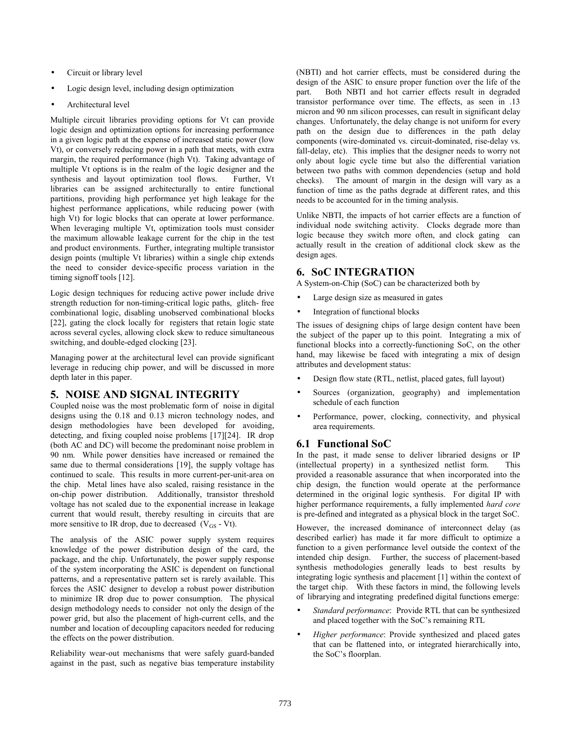- Circuit or library level
- Logic design level, including design optimization
- Architectural level

Multiple circuit libraries providing options for Vt can provide logic design and optimization options for increasing performance in a given logic path at the expense of increased static power (low Vt), or conversely reducing power in a path that meets, with extra margin, the required performance (high Vt). Taking advantage of multiple Vt options is in the realm of the logic designer and the synthesis and layout optimization tool flows. Further, Vt libraries can be assigned architecturally to entire functional partitions, providing high performance yet high leakage for the highest performance applications, while reducing power (with high Vt) for logic blocks that can operate at lower performance. When leveraging multiple Vt, optimization tools must consider the maximum allowable leakage current for the chip in the test and product environments. Further, integrating multiple transistor design points (multiple Vt libraries) within a single chip extends the need to consider device-specific process variation in the timing signoff tools [12].

Logic design techniques for reducing active power include drive strength reduction for non-timing-critical logic paths, glitch- free combinational logic, disabling unobserved combinational blocks [22], gating the clock locally for registers that retain logic state across several cycles, allowing clock skew to reduce simultaneous switching, and double-edged clocking [23].

Managing power at the architectural level can provide significant leverage in reducing chip power, and will be discussed in more depth later in this paper.

# **5. NOISE AND SIGNAL INTEGRITY**

Coupled noise was the most problematic form of noise in digital designs using the 0.18 and 0.13 micron technology nodes, and design methodologies have been developed for avoiding, detecting, and fixing coupled noise problems [17][24]. IR drop (both AC and DC) will become the predominant noise problem in 90 nm. While power densities have increased or remained the same due to thermal considerations [19], the supply voltage has continued to scale. This results in more current-per-unit-area on the chip. Metal lines have also scaled, raising resistance in the on-chip power distribution. Additionally, transistor threshold voltage has not scaled due to the exponential increase in leakage current that would result, thereby resulting in circuits that are more sensitive to IR drop, due to decreased  $(V_{GS} - Vt)$ .

The analysis of the ASIC power supply system requires knowledge of the power distribution design of the card, the package, and the chip. Unfortunately, the power supply response of the system incorporating the ASIC is dependent on functional patterns, and a representative pattern set is rarely available. This forces the ASIC designer to develop a robust power distribution to minimize IR drop due to power consumption. The physical design methodology needs to consider not only the design of the power grid, but also the placement of high-current cells, and the number and location of decoupling capacitors needed for reducing the effects on the power distribution.

Reliability wear-out mechanisms that were safely guard-banded against in the past, such as negative bias temperature instability

(NBTI) and hot carrier effects, must be considered during the design of the ASIC to ensure proper function over the life of the part. Both NBTI and hot carrier effects result in degraded transistor performance over time. The effects, as seen in .13 micron and 90 nm silicon processes, can result in significant delay changes. Unfortunately, the delay change is not uniform for every path on the design due to differences in the path delay components (wire-dominated vs. circuit-dominated, rise-delay vs. fall-delay, etc). This implies that the designer needs to worry not only about logic cycle time but also the differential variation between two paths with common dependencies (setup and hold checks). The amount of margin in the design will vary as a function of time as the paths degrade at different rates, and this needs to be accounted for in the timing analysis.

Unlike NBTI, the impacts of hot carrier effects are a function of individual node switching activity. Clocks degrade more than logic because they switch more often, and clock gating can actually result in the creation of additional clock skew as the design ages.

# **6. SoC INTEGRATION**

A System-on-Chip (SoC) can be characterized both by

- Large design size as measured in gates
- Integration of functional blocks

The issues of designing chips of large design content have been the subject of the paper up to this point. Integrating a mix of functional blocks into a correctly-functioning SoC, on the other hand, may likewise be faced with integrating a mix of design attributes and development status:

- Design flow state (RTL, netlist, placed gates, full layout)
- Sources (organization, geography) and implementation schedule of each function
- Performance, power, clocking, connectivity, and physical area requirements.

# **6.1 Functional SoC**

In the past, it made sense to deliver libraried designs or IP (intellectual property) in a synthesized netlist form. This provided a reasonable assurance that when incorporated into the chip design, the function would operate at the performance determined in the original logic synthesis. For digital IP with higher performance requirements, a fully implemented *hard core* is pre-defined and integrated as a physical block in the target SoC.

However, the increased dominance of interconnect delay (as described earlier) has made it far more difficult to optimize a function to a given performance level outside the context of the intended chip design. Further, the success of placement-based synthesis methodologies generally leads to best results by integrating logic synthesis and placement [1] within the context of the target chip. With these factors in mind, the following levels of librarying and integrating predefined digital functions emerge:

- *Standard performance*: Provide RTL that can be synthesized and placed together with the SoC's remaining RTL
- *Higher performance*: Provide synthesized and placed gates that can be flattened into, or integrated hierarchically into, the SoC's floorplan.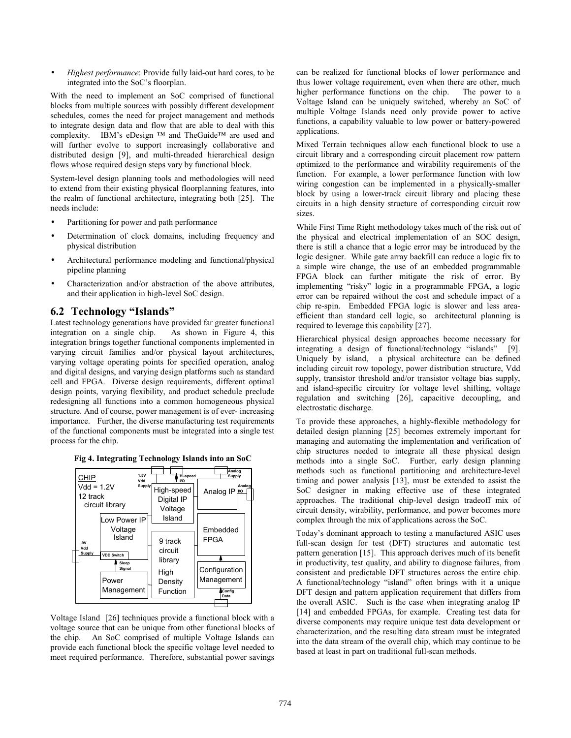• *Highest performance*: Provide fully laid-out hard cores, to be integrated into the SoC's floorplan.

With the need to implement an SoC comprised of functional blocks from multiple sources with possibly different development schedules, comes the need for project management and methods to integrate design data and flow that are able to deal with this complexity. IBM's eDesign ™ and TheGuide™ are used and will further evolve to support increasingly collaborative and distributed design [9], and multi-threaded hierarchical design flows whose required design steps vary by functional block.

System-level design planning tools and methodologies will need to extend from their existing physical floorplanning features, into the realm of functional architecture, integrating both [25]. The needs include:

- Partitioning for power and path performance
- Determination of clock domains, including frequency and physical distribution
- Architectural performance modeling and functional/physical pipeline planning
- Characterization and/or abstraction of the above attributes, and their application in high-level SoC design.

# **6.2 Technology "Islands"**

Latest technology generations have provided far greater functional integration on a single chip. As shown in Figure 4, this integration brings together functional components implemented in varying circuit families and/or physical layout architectures, varying voltage operating points for specified operation, analog and digital designs, and varying design platforms such as standard cell and FPGA. Diverse design requirements, different optimal design points, varying flexibility, and product schedule preclude redesigning all functions into a common homogeneous physical structure. And of course, power management is of ever- increasing importance. Further, the diverse manufacturing test requirements of the functional components must be integrated into a single test process for the chip.



**Fig 4. Integrating Technology Islands into an SoC** 

Voltage Island [26] techniques provide a functional block with a voltage source that can be unique from other functional blocks of the chip. An SoC comprised of multiple Voltage Islands can provide each functional block the specific voltage level needed to meet required performance. Therefore, substantial power savings

can be realized for functional blocks of lower performance and thus lower voltage requirement, even when there are other, much higher performance functions on the chip. The power to a Voltage Island can be uniquely switched, whereby an SoC of multiple Voltage Islands need only provide power to active functions, a capability valuable to low power or battery-powered applications.

Mixed Terrain techniques allow each functional block to use a circuit library and a corresponding circuit placement row pattern optimized to the performance and wirability requirements of the function. For example, a lower performance function with low wiring congestion can be implemented in a physically-smaller block by using a lower-track circuit library and placing these circuits in a high density structure of corresponding circuit row sizes.

While First Time Right methodology takes much of the risk out of the physical and electrical implementation of an SOC design, there is still a chance that a logic error may be introduced by the logic designer. While gate array backfill can reduce a logic fix to a simple wire change, the use of an embedded programmable FPGA block can further mitigate the risk of error. By implementing "risky" logic in a programmable FPGA, a logic error can be repaired without the cost and schedule impact of a chip re-spin. Embedded FPGA logic is slower and less areaefficient than standard cell logic, so architectural planning is required to leverage this capability [27].

Hierarchical physical design approaches become necessary for integrating a design of functional/technology "islands" [9]. Uniquely by island, a physical architecture can be defined including circuit row topology, power distribution structure, Vdd supply, transistor threshold and/or transistor voltage bias supply, and island-specific circuitry for voltage level shifting, voltage regulation and switching [26], capacitive decoupling, and electrostatic discharge.

To provide these approaches, a highly-flexible methodology for detailed design planning [25] becomes extremely important for managing and automating the implementation and verification of chip structures needed to integrate all these physical design methods into a single SoC. Further, early design planning methods such as functional partitioning and architecture-level timing and power analysis [13], must be extended to assist the SoC designer in making effective use of these integrated approaches. The traditional chip-level design tradeoff mix of circuit density, wirability, performance, and power becomes more complex through the mix of applications across the SoC.

Today's dominant approach to testing a manufactured ASIC uses full-scan design for test (DFT) structures and automatic test pattern generation [15]. This approach derives much of its benefit in productivity, test quality, and ability to diagnose failures, from consistent and predictable DFT structures across the entire chip. A functional/technology "island" often brings with it a unique DFT design and pattern application requirement that differs from the overall ASIC. Such is the case when integrating analog IP [14] and embedded FPGAs, for example. Creating test data for diverse components may require unique test data development or characterization, and the resulting data stream must be integrated into the data stream of the overall chip, which may continue to be based at least in part on traditional full-scan methods.